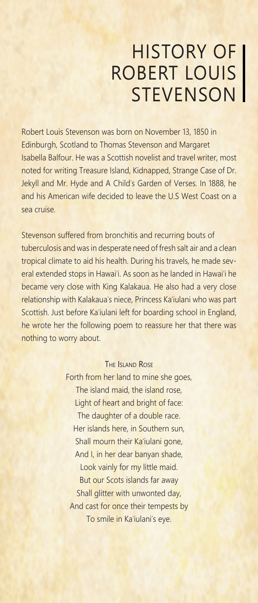# HISTORY OF ROBERT LOUIS **STEVENSON**

Robert Louis Stevenson was born on November 13, 1850 in Edinburgh, Scotland to Thomas Stevenson and Margaret Isabella Balfour. He was a Scottish novelist and travel writer, most noted for writing Treasure Island, Kidnapped, Strange Case of Dr. Jekyll and Mr. Hyde and A Child's Garden of Verses. In 1888, he and his American wife decided to leave the U.S West Coast on a sea cruise.

Stevenson suffered from bronchitis and recurring bouts of tuberculosis and was in desperate need of fresh salt air and a clean tropical climate to aid his health. During his travels, he made several extended stops in Hawai'i. As soon as he landed in Hawai'i he became very close with King Kalakaua. He also had a very close relationship with Kalakaua's niece, Princess Ka'iulani who was part Scottish. Just before Ka'iulani left for boarding school in England, he wrote her the following poem to reassure her that there was nothing to worry about.

#### THE ISLAND ROSE

Forth from her land to mine she goes, The island maid, the island rose, Light of heart and bright of face: The daughter of a double race. Her islands here, in Southern sun, Shall mourn their Ka'iulani gone, And I, in her dear banyan shade, Look vainly for my little maid. But our Scots islands far away Shall glitter with unwonted day, And cast for once their tempests by To smile in Ka'iulani's eye.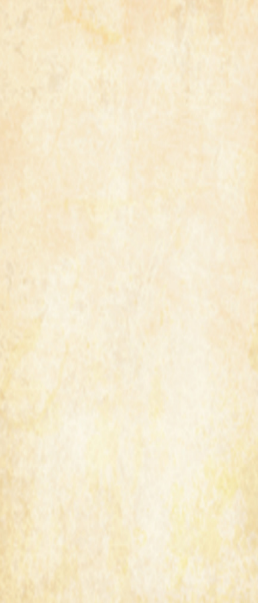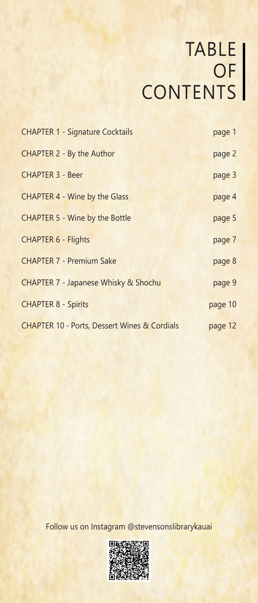# TABLE OF **CONTENTS**

| <b>CHAPTER 1 - Signature Cocktails</b>                  | page 1  |
|---------------------------------------------------------|---------|
| <b>CHAPTER 2 - By the Author</b>                        | page 2  |
| <b>CHAPTER 3 - Beer</b>                                 | page 3  |
| <b>CHAPTER 4 - Wine by the Glass</b>                    | page 4  |
| <b>CHAPTER 5 - Wine by the Bottle</b>                   | page 5  |
| <b>CHAPTER 6 - Flights</b>                              | page 7  |
| <b>CHAPTER 7 - Premium Sake</b>                         | page 8  |
| <b>CHAPTER 7 - Japanese Whisky &amp; Shochu</b>         | page 9  |
| <b>CHAPTER 8 - Spirits</b>                              | page 10 |
| <b>CHAPTER 10 - Ports, Dessert Wines &amp; Cordials</b> | page 12 |

Follow us on Instagram @stevensonslibrarykauai

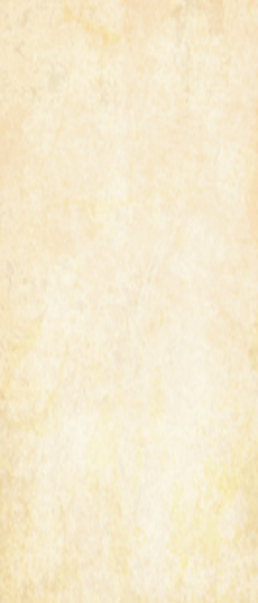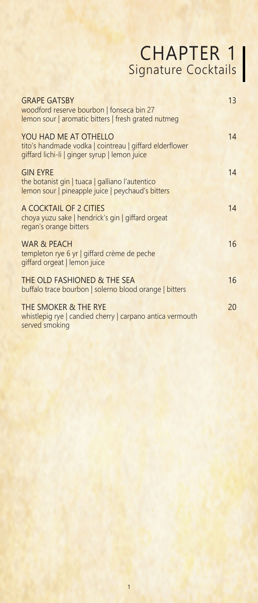### CHAPTER 1 Signature Cocktails

| <b>GRAPE GATSBY</b><br>woodford reserve bourbon   fonseca bin 27<br>lemon sour   aromatic bitters   fresh grated nutmeg           | 13 |
|-----------------------------------------------------------------------------------------------------------------------------------|----|
| YOU HAD ME AT OTHELLO<br>tito's handmade vodka   cointreau   giffard elderflower<br>giffard lichi-li   ginger syrup   lemon juice | 14 |
| <b>GIN EYRE</b><br>the botanist gin   tuaca   galliano l'autentico<br>lemon sour   pineapple juice   peychaud's bitters           | 14 |
| A COCKTAIL OF 2 CITIES<br>choya yuzu sake   hendrick's gin   giffard orgeat<br>regan's orange bitters                             | 14 |
| <b>WAR &amp; PEACH</b><br>templeton rye 6 yr   giffard crème de peche<br>giffard orgeat   lemon juice                             | 16 |
| THE OLD FASHIONED & THE SEA<br>buffalo trace bourbon   solerno blood orange   bitters                                             | 16 |
| <b>THE SMOKER &amp; THE RYE</b><br>whistlepig rye   candied cherry   carpano antica vermouth<br>served smoking                    | 20 |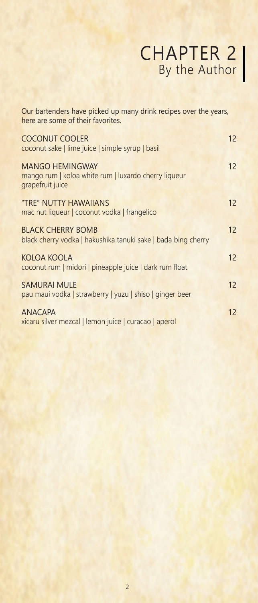# CHAPTER 2 By the Author

| Our bartenders have picked up many drink recipes over the years,<br>here are some of their favorites. |                 |
|-------------------------------------------------------------------------------------------------------|-----------------|
| <b>COCONUT COOLER</b><br>coconut sake   lime juice   simple syrup   basil                             | 12 <sup>2</sup> |
| <b>MANGO HEMINGWAY</b><br>mango rum   koloa white rum   luxardo cherry liqueur<br>grapefruit juice    | 12 <sup>2</sup> |
| "TRE" NUTTY HAWAIIANS<br>mac nut liqueur   coconut vodka   frangelico                                 | 12 <sup>2</sup> |
| <b>BLACK CHERRY BOMB</b><br>black cherry vodka   hakushika tanuki sake   bada bing cherry             | 12 <sup>2</sup> |
| <b>KOLOA KOOLA</b><br>coconut rum   midori   pineapple juice   dark rum float                         | 12 <sup>2</sup> |
| <b>SAMURAI MULE</b><br>pau maui vodka   strawberry   yuzu   shiso   ginger beer                       | 12 <sup>2</sup> |
| <b>ANACAPA</b><br>xicaru silver mezcal   lemon juice   curacao   aperol                               | 12 <sup>2</sup> |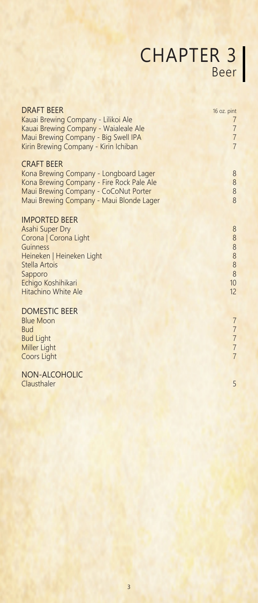# CHAPTER 3 Beer

| <b>DRAFT BEER</b><br>Kauai Brewing Company - Lilikoi Ale<br>Kauai Brewing Company - Waialeale Ale<br>Maui Brewing Company - Big Swell IPA<br>Kirin Brewing Company - Kirin Ichiban                      | 16 oz. pint<br>7<br>$\overline{7}$<br>$\overline{7}$<br>$\overline{7}$                 |
|---------------------------------------------------------------------------------------------------------------------------------------------------------------------------------------------------------|----------------------------------------------------------------------------------------|
| <b>CRAFT BEER</b><br>Kona Brewing Company - Longboard Lager<br>Kona Brewing Company - Fire Rock Pale Ale<br>Maui Brewing Company - CoCoNut Porter<br>Maui Brewing Company - Maui Blonde Lager           | 8<br>8<br>8<br>8                                                                       |
| <b>IMPORTED BEER</b><br><b>Asahi Super Dry</b><br>Corona   Corona Light<br><b>Guinness</b><br>Heineken   Heineken Light<br>Stella Artois<br>Sapporo<br>Echigo Koshihikari<br><b>Hitachino White Ale</b> | 8<br>$\delta$<br>$\begin{array}{c} 8 \\ 8 \end{array}$<br>8<br>10<br>12                |
| <b>DOMESTIC BEER</b><br><b>Blue Moon</b><br><b>Bud</b><br><b>Bud Light</b><br>Miller Light<br><b>Coors Light</b>                                                                                        | $\overline{7}$<br>$\overline{7}$<br>$\overline{7}$<br>$\overline{7}$<br>$\overline{7}$ |
| NON-ALCOHOLIC<br>Clausthaler                                                                                                                                                                            | 5                                                                                      |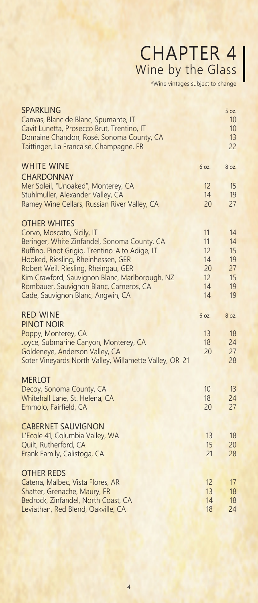### CHAPTER 4 Wine by the Glass

\*Wine vintages subject to change

| <b>SPARKLING</b><br>Canvas, Blanc de Blanc, Spumante, IT<br>Cavit Lunetta, Prosecco Brut, Trentino, IT<br>Domaine Chandon, Rosé, Sonoma County, CA<br>Taittinger, La Francaise, Champagne, FR                                                                                                                                                                       |                                              | 5 oz.<br>10 <sup>°</sup><br>10<br>13<br>22   |
|---------------------------------------------------------------------------------------------------------------------------------------------------------------------------------------------------------------------------------------------------------------------------------------------------------------------------------------------------------------------|----------------------------------------------|----------------------------------------------|
| <b>WHITE WINE</b>                                                                                                                                                                                                                                                                                                                                                   | 6 oz.                                        | 8 oz.                                        |
| <b>CHARDONNAY</b><br>Mer Soleil, "Unoaked", Monterey, CA<br>Stuhlmuller, Alexander Valley, CA<br>Ramey Wine Cellars, Russian River Valley, CA                                                                                                                                                                                                                       | 12<br>14<br>20                               | 15<br>19<br>27                               |
| <b>OTHER WHITES</b><br>Corvo, Moscato, Sicily, IT<br>Beringer, White Zinfandel, Sonoma County, CA<br>Ruffino, Pinot Grigio, Trentino-Alto Adige, IT<br>Hooked, Riesling, Rheinhessen, GER<br>Robert Weil, Riesling, Rheingau, GER<br>Kim Crawford, Sauvignon Blanc, Marlborough, NZ<br>Rombauer, Sauvignon Blanc, Carneros, CA<br>Cade, Sauvignon Blanc, Angwin, CA | 11<br>11<br>12<br>14<br>20<br>12<br>14<br>14 | 14<br>14<br>15<br>19<br>27<br>15<br>19<br>19 |
| <b>RED WINE</b>                                                                                                                                                                                                                                                                                                                                                     | 6 oz.                                        | 8 oz.                                        |
| <b>PINOT NOIR</b><br>Poppy, Monterey, CA<br>Joyce, Submarine Canyon, Monterey, CA<br>Goldeneye, Anderson Valley, CA<br>Soter Vineyards North Valley, Willamette Valley, OR 21                                                                                                                                                                                       | 13<br>18<br>20                               | 18<br>24<br>27<br>28                         |
| <b>MERLOT</b><br>Decoy, Sonoma County, CA<br>Whitehall Lane, St. Helena, CA<br>Emmolo, Fairfield, CA                                                                                                                                                                                                                                                                | 10 <sup>°</sup><br>18<br>20                  | 13<br>24<br>27                               |
| <b>CABERNET SAUVIGNON</b><br>L'Ecole 41, Columbia Valley, WA<br>Quilt, Rutherford, CA<br>Frank Family, Calistoga, CA                                                                                                                                                                                                                                                | 13<br>15<br>21                               | 18<br>20<br>28                               |
| <b>OTHER REDS</b><br>Catena, Malbec, Vista Flores, AR<br>Shatter, Grenache, Maury, FR<br>Bedrock, Zinfandel, North Coast, CA<br>Leviathan, Red Blend, Oakville, CA                                                                                                                                                                                                  | 12<br>13<br>14<br>18                         | 17<br>18<br>18<br>24                         |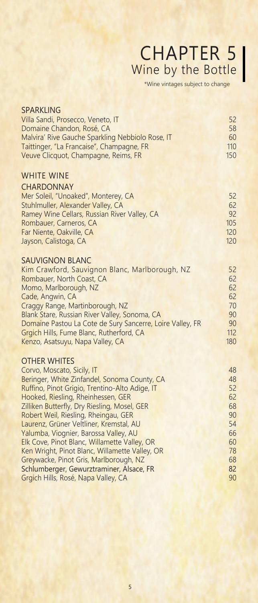# CHAPTER 5 Wine by the Bottle

\*Wine vintages subject to change

| <b>SPARKLING</b><br>Villa Sandi, Prosecco, Veneto, IT<br>Domaine Chandon, Rosé, CA<br>Malvira' Rive Gauche Sparkling Nebbiolo Rose, IT<br>Taittinger, "La Francaise", Champagne, FR<br>Veuve Clicquot, Champagne, Reims, FR                                                                                                                                                                                                                                                                                                                                                                          | 52<br>58<br>60<br>110<br>150                                               |
|------------------------------------------------------------------------------------------------------------------------------------------------------------------------------------------------------------------------------------------------------------------------------------------------------------------------------------------------------------------------------------------------------------------------------------------------------------------------------------------------------------------------------------------------------------------------------------------------------|----------------------------------------------------------------------------|
| <b>WHITE WINE</b><br><b>CHARDONNAY</b><br>Mer Soleil, "Unoaked", Monterey, CA<br>Stuhlmuller, Alexander Valley, CA<br>Ramey Wine Cellars, Russian River Valley, CA<br>Rombauer, Carneros, CA<br>Far Niente, Oakville, CA<br>Jayson, Calistoga, CA                                                                                                                                                                                                                                                                                                                                                    | 52<br>62<br>92<br>105<br>120<br>120                                        |
| <b>SAUVIGNON BLANC</b><br>Kim Crawford, Sauvignon Blanc, Marlborough, NZ<br>Rombauer, North Coast, CA<br>Momo, Marlborough, NZ<br>Cade, Angwin, CA<br>Craggy Range, Martinborough, NZ<br>Blank Stare, Russian River Valley, Sonoma, CA<br>Domaine Pastou La Cote de Sury Sancerre, Loire Valley, FR<br>Grgich Hills, Fume Blanc, Rutherford, CA<br>Kenzo, Asatsuyu, Napa Valley, CA                                                                                                                                                                                                                  | 52<br>62<br>62<br>62<br>70<br>90<br>90<br>112<br>180                       |
| <b>OTHER WHITES</b><br>Corvo, Moscato, Sicily, IT<br>Beringer, White Zinfandel, Sonoma County, CA<br>Ruffino, Pinot Grigio, Trentino-Alto Adige, IT<br>Hooked, Riesling, Rheinhessen, GER<br>Zilliken Butterfly, Dry Riesling, Mosel, GER<br>Robert Weil, Riesling, Rheingau, GER<br>Laurenz, Grüner Veltliner, Kremstal, AU<br>Yalumba, Viognier, Barossa Valley, AU<br>Elk Cove, Pinot Blanc, Willamette Valley, OR<br>Ken Wright, Pinot Blanc, Willamette Valley, OR<br>Greywacke, Pinot Gris, Marlborough, NZ<br>Schlumberger, Gewurztraminer, Alsace, FR<br>Grgich Hills, Rosé, Napa Valley, CA | 48<br>48<br>52<br>62<br>68<br>90<br>54<br>66<br>60<br>78<br>68<br>82<br>90 |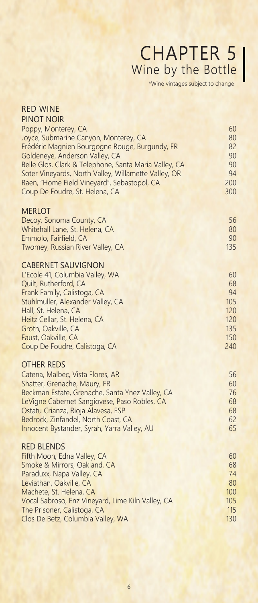## CHAPTER 5 Wine by the Bottle

\*Wine vintages subject to change

| <b>RED WINE</b><br><b>PINOT NOIR</b><br>Poppy, Monterey, CA<br>Joyce, Submarine Canyon, Monterey, CA<br>Frédéric Magnien Bourgogne Rouge, Burgundy, FR<br>Goldeneye, Anderson Valley, CA<br>Belle Glos, Clark & Telephone, Santa Maria Valley, CA<br>Soter Vineyards, North Valley, Willamette Valley, OR<br>Raen, "Home Field Vineyard", Sebastopol, CA<br>Coup De Foudre, St. Helena, CA | 60<br>80<br>82<br>90<br>90<br>94<br>200<br>300           |
|--------------------------------------------------------------------------------------------------------------------------------------------------------------------------------------------------------------------------------------------------------------------------------------------------------------------------------------------------------------------------------------------|----------------------------------------------------------|
| <b>MERLOT</b><br>Decoy, Sonoma County, CA<br>Whitehall Lane, St. Helena, CA<br>Emmolo, Fairfield, CA<br>Twomey, Russian River Valley, CA                                                                                                                                                                                                                                                   | 56<br>80<br>90<br>135                                    |
| <b>CABERNET SAUVIGNON</b><br>L'Ecole 41, Columbia Valley, WA<br>Quilt, Rutherford, CA<br>Frank Family, Calistoga, CA<br>Stuhlmuller, Alexander Valley, CA<br>Hall, St. Helena, CA<br>Heitz Cellar, St. Helena, CA<br>Groth, Oakville, CA<br>Faust, Oakville, CA<br>Coup De Foudre, Calistoga, CA                                                                                           | 60<br>68<br>94<br>105<br>120<br>120<br>135<br>150<br>240 |
| <b>OTHER REDS</b><br>Catena, Malbec, Vista Flores, AR<br>Shatter, Grenache, Maury, FR<br>Beckman Estate, Grenache, Santa Ynez Valley, CA<br>LeVigne Cabernet Sangiovese, Paso Robles, CA<br>Ostatu Crianza, Rioja Alavesa, ESP<br>Bedrock, Zinfandel, North Coast, CA<br>Innocent Bystander, Syrah, Yarra Valley, AU                                                                       | 56<br>60<br>76<br>68<br>68<br>62<br>65                   |
| <b>RED BLENDS</b><br>Fifth Moon, Edna Valley, CA<br>Smoke & Mirrors, Oakland, CA<br>Paraduxx, Napa Valley, CA<br>Leviathan, Oakville, CA<br>Machete, St. Helena, CA<br>Vocal Sabroso, Enz Vineyard, Lime Kiln Valley, CA<br>The Prisoner, Calistoga, CA<br>Clos De Betz, Columbia Valley, WA                                                                                               | 60<br>68<br>74<br>80<br>100<br>105<br>115<br>130         |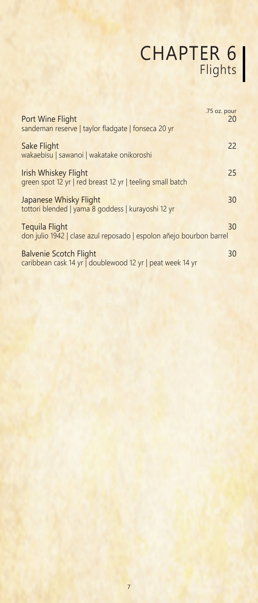# CHAPTER 6 Flights

| <b>Port Wine Flight</b><br>sandeman reserve   taylor fladgate   fonseca 20 yr                | .75 oz. pour<br>20 |
|----------------------------------------------------------------------------------------------|--------------------|
| <b>Sake Flight</b><br>wakaebisu   sawanoi   wakatake onikoroshi                              | 22                 |
| <b>Irish Whiskey Flight</b><br>green spot 12 yr   red breast 12 yr   teeling small batch     | 25                 |
| Japanese Whisky Flight<br>tottori blended   yama 8 goddess   kurayoshi 12 yr                 | 30                 |
| <b>Tequila Flight</b><br>don julio 1942   clase azul reposado   espolon añejo bourbon barrel | 30                 |
| <b>Balvenie Scotch Flight</b><br>caribbean cask 14 yr   doublewood 12 yr   peat week 14 yr   | 30                 |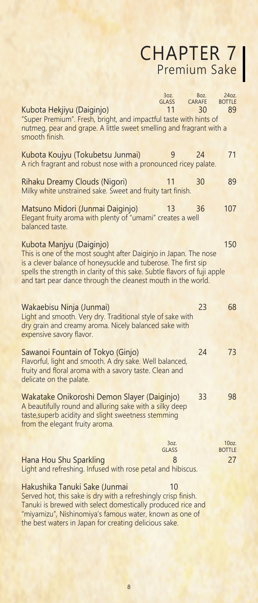### CHAPTER 7 Premium Sake

|                                                                                                                                                                                                                                                                                                             | 3oz.<br><b>GLASS</b> | 80z.<br><b>CARAFE</b> | 24oz.<br><b>BOTTLE</b> |
|-------------------------------------------------------------------------------------------------------------------------------------------------------------------------------------------------------------------------------------------------------------------------------------------------------------|----------------------|-----------------------|------------------------|
| Kubota Hekjiyu (Daiginjo)<br>"Super Premium". Fresh, bright, and impactful taste with hints of                                                                                                                                                                                                              | 11                   | 30                    | 89                     |
| nutmeg, pear and grape. A little sweet smelling and fragrant with a<br>smooth finish.                                                                                                                                                                                                                       |                      |                       |                        |
| Kubota Koujyu (Tokubetsu Junmai)<br>A rich fragrant and robust nose with a pronounced ricey palate.                                                                                                                                                                                                         | 9                    | 24                    | 71                     |
| Rihaku Dreamy Clouds (Nigori)<br>Milky white unstrained sake. Sweet and fruity tart finish.                                                                                                                                                                                                                 | 11                   | 30                    | 89                     |
| Matsuno Midori (Junmai Daiginjo)<br>Elegant fruity aroma with plenty of "umami" creates a well<br>balanced taste.                                                                                                                                                                                           | 13                   | 36                    | 107                    |
| Kubota Manjyu (Daiginjo)<br>This is one of the most sought after Daiginjo in Japan. The nose<br>is a clever balance of honeysuckle and tuberose. The first sip<br>spells the strength in clarity of this sake. Subtle flavors of fuji apple<br>and tart pear dance through the cleanest mouth in the world. |                      |                       | 150                    |
| Wakaebisu Ninja (Junmai)<br>Light and smooth. Very dry. Traditional style of sake with<br>dry grain and creamy aroma. Nicely balanced sake with<br>expensive savory flavor.                                                                                                                                 |                      | 23                    | 68                     |
| Sawanoi Fountain of Tokyo (Ginjo)<br>Flavorful, light and smooth. A dry sake. Well balanced,<br>fruity and floral aroma with a savory taste. Clean and<br>delicate on the palate.                                                                                                                           |                      | 24                    | 73                     |
| Wakatake Onikoroshi Demon Slayer (Daiginjo)<br>A beautifully round and alluring sake with a silky deep<br>taste, superb acidity and slight sweetness stemming<br>from the elegant fruity aroma.                                                                                                             |                      | 33                    | 98                     |
|                                                                                                                                                                                                                                                                                                             | 3oz.<br><b>GLASS</b> |                       | 10oz.<br><b>BOTTLE</b> |
| Hana Hou Shu Sparkling<br>Light and refreshing. Infused with rose petal and hibiscus.                                                                                                                                                                                                                       | 8                    |                       | 27                     |
| Hakushika Tanuki Sake (Junmai<br>Served hot, this sake is dry with a refreshingly crisp finish.<br>Tanuki is brewed with select domestically produced rice and<br>"miyamizu", Nishinomiya's famous water, known as one of                                                                                   | 10                   |                       |                        |

the best waters in Japan for creating delicious sake.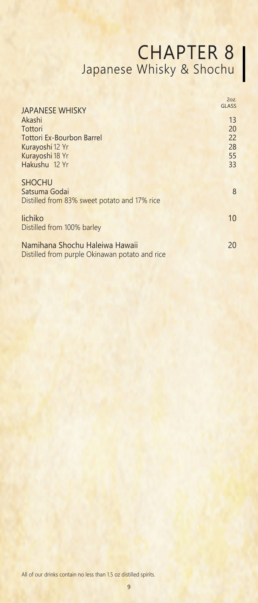### CHAPTER 8 Japanese Whisky & Shochu

|                                                | 2oz.<br><b>GLASS</b> |
|------------------------------------------------|----------------------|
| <b>JAPANESE WHISKY</b>                         |                      |
| Akashi                                         | 13                   |
| <b>Tottori</b>                                 | 20                   |
| <b>Tottori Ex-Bourbon Barrel</b>               | 22                   |
| Kurayoshi 12 Yr                                | 28                   |
| Kurayoshi 18 Yr                                | 55                   |
| Hakushu 12 Yr                                  | 33                   |
|                                                |                      |
| <b>SHOCHU</b>                                  |                      |
| Satsuma Godai                                  | 8                    |
| Distilled from 83% sweet potato and 17% rice   |                      |
|                                                |                      |
| lichiko                                        | 10                   |
| Distilled from 100% barley                     |                      |
|                                                |                      |
| Namihana Shochu Haleiwa Hawaii                 | 20                   |
| Distilled from purple Okinawan potato and rice |                      |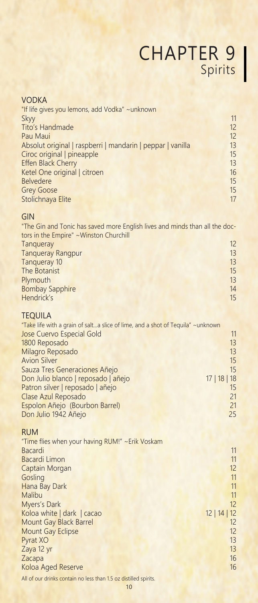# CHAPTER 9 Spirits

| <b>VODKA</b><br>"If life gives you lemons, add Vodka" ~unknown<br><b>Skyy</b><br>Tito's Handmade<br>Pau Maui<br>Absolut original   raspberri   mandarin   peppar   vanilla<br>Ciroc original   pineapple<br><b>Effen Black Cherry</b><br>Ketel One original   citroen<br><b>Belvedere</b><br><b>Grey Goose</b><br>Stolichnaya Elite                                                                             |                | 11<br>12<br>12<br>13<br>15<br>13<br>16<br>15<br>15<br>17                   |
|-----------------------------------------------------------------------------------------------------------------------------------------------------------------------------------------------------------------------------------------------------------------------------------------------------------------------------------------------------------------------------------------------------------------|----------------|----------------------------------------------------------------------------|
| <b>GIN</b><br>"The Gin and Tonic has saved more English lives and minds than all the doc-<br>tors in the Empire" ~ Winston Churchill                                                                                                                                                                                                                                                                            |                |                                                                            |
| <b>Tanqueray</b><br><b>Tanqueray Rangpur</b><br>Tanqueray 10<br>The Botanist<br>Plymouth<br><b>Bombay Sapphire</b><br>Hendrick's                                                                                                                                                                                                                                                                                |                | 12<br>13<br>13<br>15<br>13<br>14<br>15                                     |
| <b>TEQUILA</b><br>"Take life with a grain of salta slice of lime, and a shot of Tequila" ~unknown<br><b>Jose Cuervo Especial Gold</b><br>1800 Reposado<br>Milagro Reposado<br><b>Avion Silver</b><br>Sauza Tres Generaciones Añejo<br>Don Julio blanco reposado   añejo<br>Patron silver   reposado   añejo<br>Clase Azul Reposado<br>Espolon Añejo (Bourbon Barrel)<br>Don Julio 1942 Añejo                    | 17   18   18   | 11<br>13<br>13<br>15<br>15<br>15<br>21<br>21<br>25                         |
| <b>RUM</b><br>"Time flies when your having RUM!" ~Erik Voskam<br><b>Bacardi</b><br><b>Bacardi Limon</b><br>Captain Morgan<br>Gosling<br>Hana Bay Dark<br>Malibu<br><b>Myers's Dark</b><br>Koloa white   dark   cacao<br><b>Mount Gay Black Barrel</b><br><b>Mount Gay Eclipse</b><br>Pyrat XO<br>Zaya 12 yr<br>Zacapa<br>Koloa Aged Reserve<br>All of our drinks contain no less than 1.5 oz distilled spirits. | $12$   14   12 | 11<br>11<br>12<br>11<br>11<br>11<br>12<br>12<br>12<br>13<br>13<br>16<br>16 |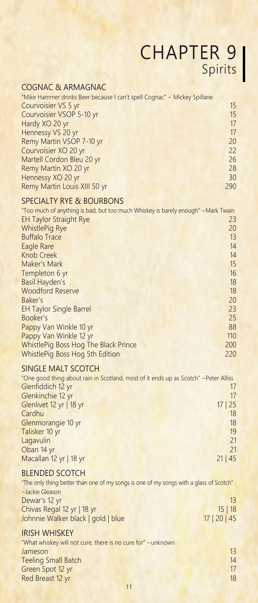# CHAPTER 9 Spirits

### COGNAC & ARMAGNAC

| "Mike Hammer drinks Beer because I can't spell Cognac" ~ Mickey Spillane |     |
|--------------------------------------------------------------------------|-----|
| Courvoisier VS 5 yr                                                      | 15  |
| Courvoisier VSOP 5-10 yr                                                 | 15  |
| Hardy XO 20 yr                                                           | 17  |
| Hennessy VS 20 yr                                                        | 17  |
| Remy Martin VSOP 7-10 yr                                                 | 20  |
| Courvoisier XO 20 yr                                                     | 22  |
| Martell Cordon Bleu 20 yr                                                | 26  |
| Remy Martin XO 20 yr                                                     | 28  |
| Hennessy XO 20 yr                                                        | 30  |
| Remy Martin Louis XIII 50 yr                                             | 290 |
|                                                                          |     |

### SPECIALTY RYE & BOURBONS

| "Too much of anything is bad, but too much Whiskey is barely enough" ~Mark Twain |     |
|----------------------------------------------------------------------------------|-----|
| <b>EH Taylor Straight Rye</b>                                                    | 23  |
| <b>WhistlePig Rye</b>                                                            | 20  |
| <b>Buffalo Trace</b>                                                             | 13  |
| Eagle Rare                                                                       | 14  |
| <b>Knob Creek</b>                                                                | 14  |
| Maker's Mark                                                                     | 15  |
| Templeton 6 yr                                                                   | 16  |
| <b>Basil Hayden's</b>                                                            | 18  |
| <b>Woodford Reserve</b>                                                          | 18  |
| Baker's                                                                          | 20  |
| <b>EH Taylor Single Barrel</b>                                                   | 23  |
| Booker's                                                                         | 25  |
| Pappy Van Winkle 10 yr                                                           | 88  |
| Pappy Van Winkle 12 yr                                                           | 110 |
| <b>WhistlePig Boss Hog The Black Prince</b>                                      | 200 |
| <b>WhistlePig Boss Hog 5th Edition</b>                                           | 220 |

#### SINGLE MALT SCOTCH

| "One good thing about rain in Scotland, most of it ends up as Scotch" ~Peter Alliss |              |
|-------------------------------------------------------------------------------------|--------------|
| Glenfiddich 12 yr                                                                   | 17           |
| Glenkinchie 12 yr                                                                   | 17           |
| Glenlivet 12 yr   18 yr                                                             | $17 \mid 25$ |
| Cardhu                                                                              | 18           |
| Glenmorangie 10 yr                                                                  | 18           |
| Talisker 10 yr                                                                      | 19           |
| Lagavulin                                                                           | 21           |
| Oban 14 yr                                                                          | 21           |
| Macallan 12 yr   18 yr                                                              | 45           |

#### BLENDED SCOTCH

"The only thing better than one of my songs is one of my songs with a glass of Scotch" ~Jackie Gleason Dewar's 12 yr 13 Chivas Regal 12 yr | 18 yr<br>
Johnnie Walker black | gold | blue 17 | 20 | 45 Johnnie Walker black | gold | blue

#### IRISH WHISKEY

| "What whiskey will not cure, there is no cure for" ~unknown |    |
|-------------------------------------------------------------|----|
| Jameson                                                     | 13 |
| <b>Teeling Small Batch</b>                                  | 14 |
| Green Spot 12 yr                                            | 17 |
| Red Breast 12 yr                                            | 18 |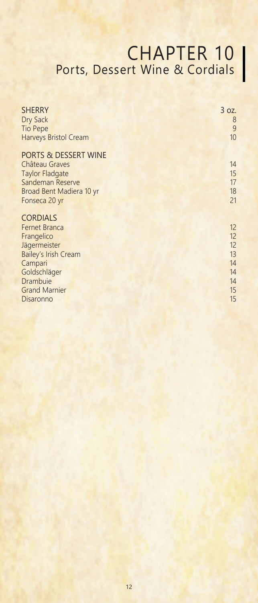### CHAPTER 10 Ports, Dessert Wine & Cordials

| <b>SHERRY</b><br>Dry Sack<br><b>Tio Pepe</b><br><b>Harveys Bristol Cream</b>                                                                                                     | 3 oz.<br>8<br>9<br>10                              |
|----------------------------------------------------------------------------------------------------------------------------------------------------------------------------------|----------------------------------------------------|
| <b>PORTS &amp; DESSERT WINE</b><br>Château Graves<br><b>Taylor Fladgate</b><br>Sandeman Reserve<br>Broad Bent Madiera 10 yr<br>Fonseca 20 yr                                     | 14<br>15<br>17<br>18<br>21                         |
| <b>CORDIALS</b><br><b>Fernet Branca</b><br>Frangelico<br>Jägermeister<br><b>Bailey's Irish Cream</b><br>Campari<br>Goldschläger<br>Drambuie<br><b>Grand Marnier</b><br>Disaronno | 12<br>12<br>12<br>13<br>14<br>14<br>14<br>15<br>15 |